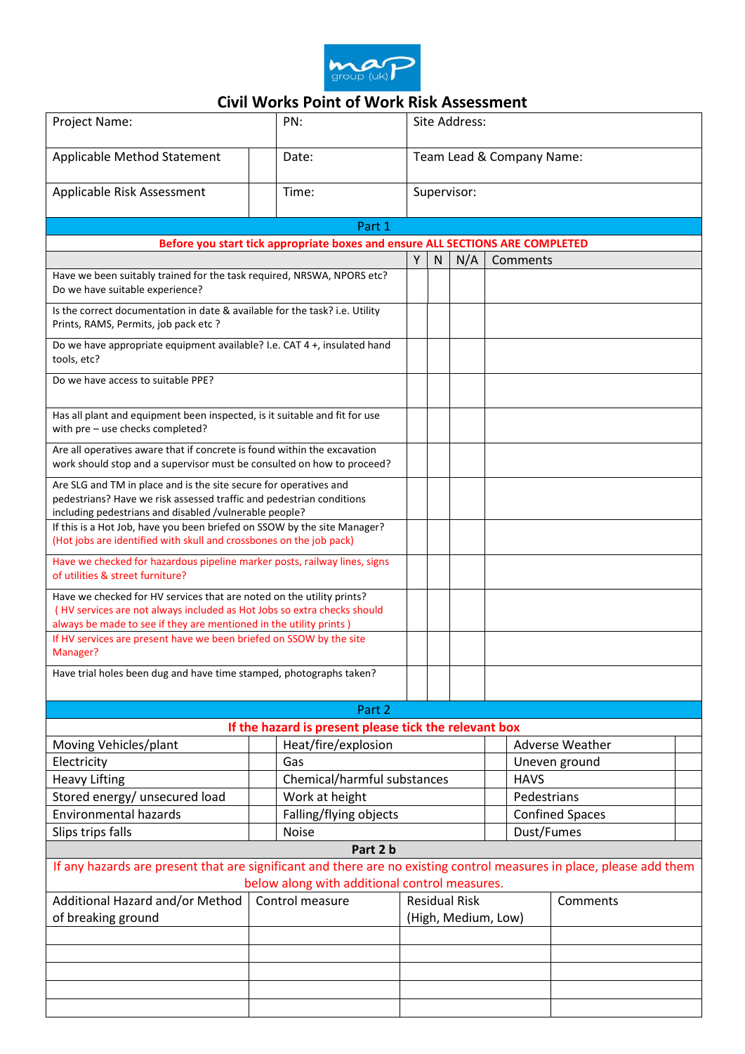

## **Civil Works Point of Work Risk Assessment**

| Project Name:                                                                                                                                                                                       | PN:                                                   |                                             | Site Address:             |     |            |                        |                        |  |
|-----------------------------------------------------------------------------------------------------------------------------------------------------------------------------------------------------|-------------------------------------------------------|---------------------------------------------|---------------------------|-----|------------|------------------------|------------------------|--|
| Applicable Method Statement                                                                                                                                                                         | Date:                                                 |                                             | Team Lead & Company Name: |     |            |                        |                        |  |
| Applicable Risk Assessment                                                                                                                                                                          | Time:                                                 |                                             | Supervisor:               |     |            |                        |                        |  |
|                                                                                                                                                                                                     |                                                       | Part 1                                      |                           |     |            |                        |                        |  |
| Before you start tick appropriate boxes and ensure ALL SECTIONS ARE COMPLETED                                                                                                                       |                                                       |                                             |                           |     |            |                        |                        |  |
|                                                                                                                                                                                                     |                                                       |                                             | Y<br><sub>N</sub>         | N/A |            | Comments               |                        |  |
| Have we been suitably trained for the task required, NRSWA, NPORS etc?<br>Do we have suitable experience?                                                                                           |                                                       |                                             |                           |     |            |                        |                        |  |
| Is the correct documentation in date & available for the task? i.e. Utility<br>Prints, RAMS, Permits, job pack etc?                                                                                 |                                                       |                                             |                           |     |            |                        |                        |  |
| Do we have appropriate equipment available? I.e. CAT 4 +, insulated hand<br>tools, etc?                                                                                                             |                                                       |                                             |                           |     |            |                        |                        |  |
| Do we have access to suitable PPE?                                                                                                                                                                  |                                                       |                                             |                           |     |            |                        |                        |  |
| Has all plant and equipment been inspected, is it suitable and fit for use<br>with pre - use checks completed?                                                                                      |                                                       |                                             |                           |     |            |                        |                        |  |
| Are all operatives aware that if concrete is found within the excavation<br>work should stop and a supervisor must be consulted on how to proceed?                                                  |                                                       |                                             |                           |     |            |                        |                        |  |
| Are SLG and TM in place and is the site secure for operatives and<br>pedestrians? Have we risk assessed traffic and pedestrian conditions<br>including pedestrians and disabled /vulnerable people? |                                                       |                                             |                           |     |            |                        |                        |  |
| If this is a Hot Job, have you been briefed on SSOW by the site Manager?<br>(Hot jobs are identified with skull and crossbones on the job pack)                                                     |                                                       |                                             |                           |     |            |                        |                        |  |
| Have we checked for hazardous pipeline marker posts, railway lines, signs<br>of utilities & street furniture?                                                                                       |                                                       |                                             |                           |     |            |                        |                        |  |
| Have we checked for HV services that are noted on the utility prints?                                                                                                                               |                                                       |                                             |                           |     |            |                        |                        |  |
| (HV services are not always included as Hot Jobs so extra checks should                                                                                                                             |                                                       |                                             |                           |     |            |                        |                        |  |
| always be made to see if they are mentioned in the utility prints)<br>If HV services are present have we been briefed on SSOW by the site<br>Manager?                                               |                                                       |                                             |                           |     |            |                        |                        |  |
| Have trial holes been dug and have time stamped, photographs taken?                                                                                                                                 |                                                       |                                             |                           |     |            |                        |                        |  |
|                                                                                                                                                                                                     |                                                       | Part 2                                      |                           |     |            |                        |                        |  |
|                                                                                                                                                                                                     | If the hazard is present please tick the relevant box |                                             |                           |     |            |                        |                        |  |
| Moving Vehicles/plant                                                                                                                                                                               |                                                       | Heat/fire/explosion                         |                           |     |            |                        | <b>Adverse Weather</b> |  |
| Electricity                                                                                                                                                                                         | Gas                                                   |                                             |                           |     |            | Uneven ground          |                        |  |
| <b>Heavy Lifting</b>                                                                                                                                                                                | Chemical/harmful substances                           |                                             |                           |     |            | <b>HAVS</b>            |                        |  |
| Stored energy/ unsecured load                                                                                                                                                                       | Work at height                                        |                                             |                           |     |            | Pedestrians            |                        |  |
| <b>Environmental hazards</b>                                                                                                                                                                        | Falling/flying objects                                |                                             |                           |     |            | <b>Confined Spaces</b> |                        |  |
| Slips trips falls                                                                                                                                                                                   | <b>Noise</b>                                          |                                             |                           |     | Dust/Fumes |                        |                        |  |
| Part 2 b                                                                                                                                                                                            |                                                       |                                             |                           |     |            |                        |                        |  |
| If any hazards are present that are significant and there are no existing control measures in place, please add them<br>below along with additional control measures.                               |                                                       |                                             |                           |     |            |                        |                        |  |
| Additional Hazard and/or Method                                                                                                                                                                     | Control measure                                       |                                             |                           |     |            |                        | Comments               |  |
| of breaking ground                                                                                                                                                                                  |                                                       | <b>Residual Risk</b><br>(High, Medium, Low) |                           |     |            |                        |                        |  |
|                                                                                                                                                                                                     |                                                       |                                             |                           |     |            |                        |                        |  |
|                                                                                                                                                                                                     |                                                       |                                             |                           |     |            |                        |                        |  |
|                                                                                                                                                                                                     |                                                       |                                             |                           |     |            |                        |                        |  |
|                                                                                                                                                                                                     |                                                       |                                             |                           |     |            |                        |                        |  |
|                                                                                                                                                                                                     |                                                       |                                             |                           |     |            |                        |                        |  |